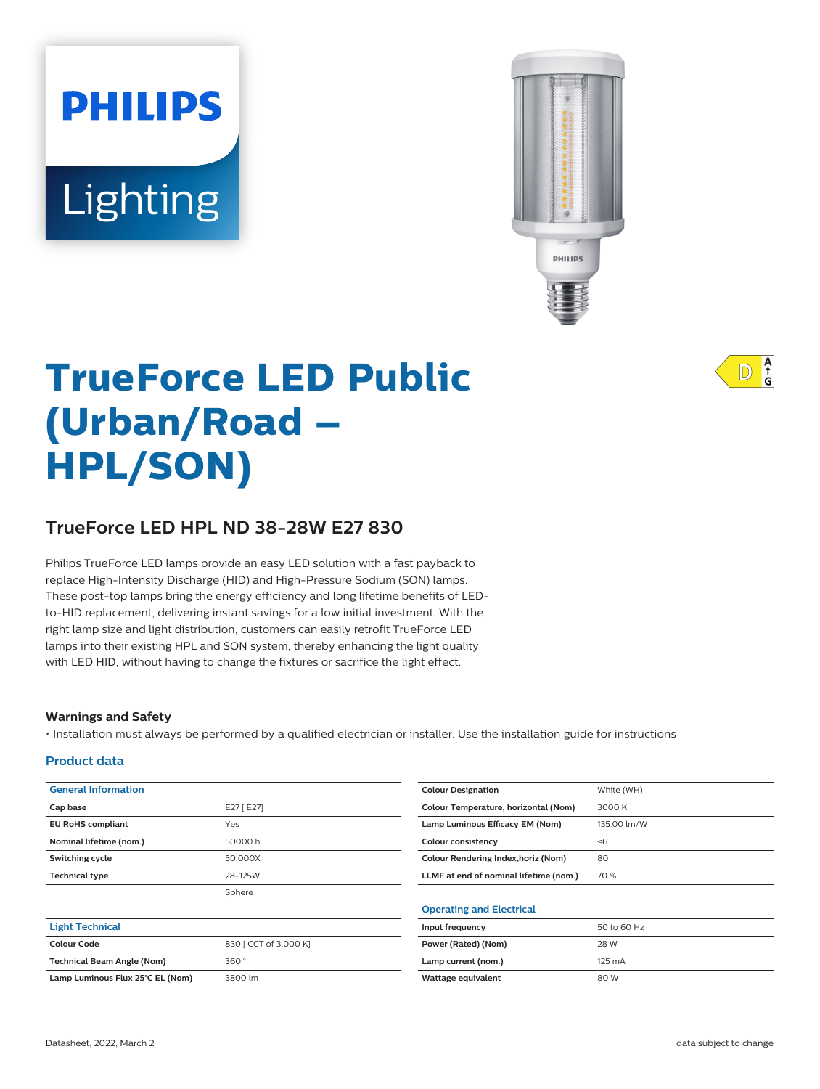# **PHILIPS** Lighting



# **TrueForce LED Public (Urban/Road – HPL/SON)**

# **TrueForce LED HPL ND 38-28W E27 830**

Philips TrueForce LED lamps provide an easy LED solution with a fast payback to replace High-Intensity Discharge (HID) and High-Pressure Sodium (SON) lamps. These post-top lamps bring the energy efficiency and long lifetime benefits of LEDto-HID replacement, delivering instant savings for a low initial investment. With the right lamp size and light distribution, customers can easily retrofit TrueForce LED lamps into their existing HPL and SON system, thereby enhancing the light quality with LED HID, without having to change the fixtures or sacrifice the light effect.

#### **Warnings and Safety**

• Installation must always be performed by a qualified electrician or installer. Use the installation guide for instructions

#### **Product data**

| <b>General Information</b>        |                       | <b>Colour Designation</b>                  | White (WH)  |
|-----------------------------------|-----------------------|--------------------------------------------|-------------|
| Cap base                          | E27 [ E27]            | Colour Temperature, horizontal (Nom)       | 3000 K      |
| <b>EU RoHS compliant</b>          | Yes                   | Lamp Luminous Efficacy EM (Nom)            | 135.00 lm/W |
| Nominal lifetime (nom.)           | 50000 h               | Colour consistency                         | < 6         |
| Switching cycle                   | 50,000X               | <b>Colour Rendering Index, horiz (Nom)</b> | 80          |
| <b>Technical type</b>             | 28-125W               | LLMF at end of nominal lifetime (nom.)     | 70 %        |
|                                   | Sphere                |                                            |             |
|                                   |                       | <b>Operating and Electrical</b>            |             |
| <b>Light Technical</b>            |                       | Input frequency                            | 50 to 60 Hz |
| <b>Colour Code</b>                | 830   CCT of 3,000 K] | Power (Rated) (Nom)                        | 28 W        |
| <b>Technical Beam Angle (Nom)</b> | 360°                  | Lamp current (nom.)                        | 125 mA      |
| Lamp Luminous Flux 25°C EL (Nom)  | 3800 lm               | Wattage equivalent                         | 80 W        |
|                                   |                       |                                            |             |

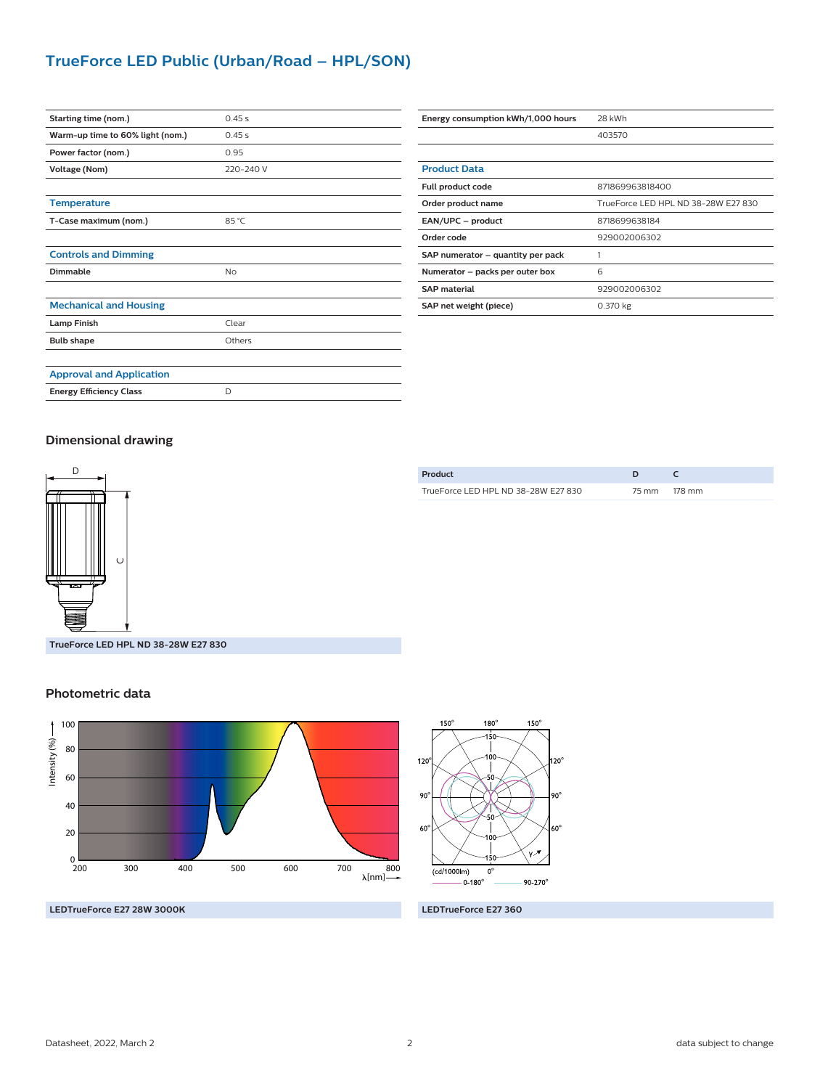# **TrueForce LED Public (Urban/Road – HPL/SON)**

| Starting time (nom.)             | 0.45s     |
|----------------------------------|-----------|
| Warm-up time to 60% light (nom.) | 0.45s     |
| Power factor (nom.)              | 0.95      |
| Voltage (Nom)                    | 220-240 V |
|                                  |           |
| <b>Temperature</b>               |           |
| T-Case maximum (nom.)            | 85 °C     |
|                                  |           |
| <b>Controls and Dimming</b>      |           |
| Dimmable                         | No        |
|                                  |           |
| <b>Mechanical and Housing</b>    |           |
| <b>Lamp Finish</b>               | Clear     |
| <b>Bulb shape</b>                | Others    |
|                                  |           |
| <b>Approval and Application</b>  |           |
| <b>Energy Efficiency Class</b>   | D         |

| Energy consumption kWh/1,000 hours | 28 kWh                              |  |  |
|------------------------------------|-------------------------------------|--|--|
|                                    | 403570                              |  |  |
|                                    |                                     |  |  |
| <b>Product Data</b>                |                                     |  |  |
| Full product code                  | 871869963818400                     |  |  |
| Order product name                 | TrueForce LED HPL ND 38-28W E27 830 |  |  |
| EAN/UPC - product                  | 8718699638184                       |  |  |
| Order code                         | 929002006302                        |  |  |
| SAP numerator - quantity per pack  |                                     |  |  |
| Numerator - packs per outer box    | 6                                   |  |  |
| <b>SAP material</b>                | 929002006302                        |  |  |
| SAP net weight (piece)             | 0.370 kg                            |  |  |

#### **Dimensional drawing**



| Product                             |              |
|-------------------------------------|--------------|
| TrueForce LED HPL ND 38-28W E27 830 | 75 mm 178 mm |
|                                     |              |

**TrueForce LED HPL ND 38-28W E27 830**

### 200 300 400 500 600  $_{200}^0$ 40 80 20 60 700 800 100 Intensity (%)



**LEDTrueForce E27 28W 3000K LEDTrueForce E27 360**

#### **Photometric data**

 $\lambda$ [nm] $\rightarrow$